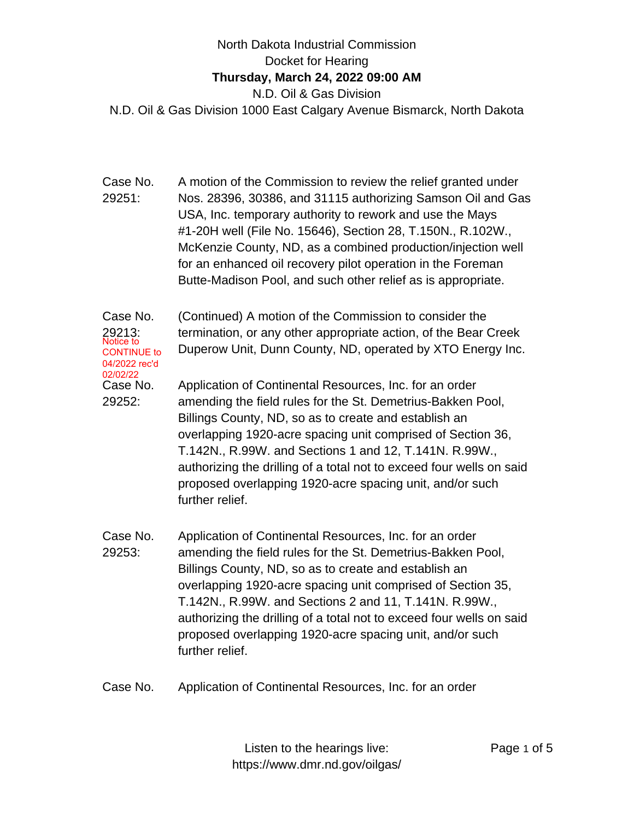## North Dakota Industrial Commission Docket for Hearing **Thursday, March 24, 2022 09:00 AM** N.D. Oil & Gas Division N.D. Oil & Gas Division 1000 East Calgary Avenue Bismarck, North Dakota

Case No. 29251: A motion of the Commission to review the relief granted under Nos. 28396, 30386, and 31115 authorizing Samson Oil and Gas USA, Inc. temporary authority to rework and use the Mays #1-20H well (File No. 15646), Section 28, T.150N., R.102W., McKenzie County, ND, as a combined production/injection well for an enhanced oil recovery pilot operation in the Foreman Butte-Madison Pool, and such other relief as is appropriate.

Case No. 29213: (Continued) A motion of the Commission to consider the termination, or any other appropriate action, of the Bear Creek Duperow Unit, Dunn County, ND, operated by XTO Energy Inc. Case No. 29252: Application of Continental Resources, Inc. for an order amending the field rules for the St. Demetrius-Bakken Pool, Billings County, ND, so as to create and establish an overlapping 1920-acre spacing unit comprised of Section 36, T.142N., R.99W. and Sections 1 and 12, T.141N. R.99W., authorizing the drilling of a total not to exceed four wells on said proposed overlapping 1920-acre spacing unit, and/or such further relief. Notice to CONTINUE to 04/2022 rec'd 02/02/22

- Case No. 29253: Application of Continental Resources, Inc. for an order amending the field rules for the St. Demetrius-Bakken Pool, Billings County, ND, so as to create and establish an overlapping 1920-acre spacing unit comprised of Section 35, T.142N., R.99W. and Sections 2 and 11, T.141N. R.99W., authorizing the drilling of a total not to exceed four wells on said proposed overlapping 1920-acre spacing unit, and/or such further relief.
- Case No. Application of Continental Resources, Inc. for an order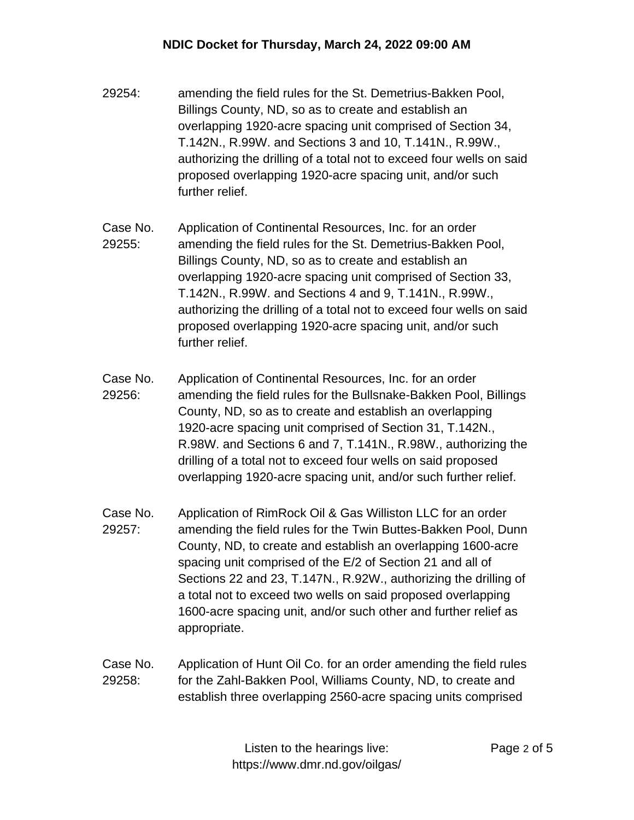- 29254: amending the field rules for the St. Demetrius-Bakken Pool, Billings County, ND, so as to create and establish an overlapping 1920-acre spacing unit comprised of Section 34, T.142N., R.99W. and Sections 3 and 10, T.141N., R.99W., authorizing the drilling of a total not to exceed four wells on said proposed overlapping 1920-acre spacing unit, and/or such further relief.
- Case No. 29255: Application of Continental Resources, Inc. for an order amending the field rules for the St. Demetrius-Bakken Pool, Billings County, ND, so as to create and establish an overlapping 1920-acre spacing unit comprised of Section 33, T.142N., R.99W. and Sections 4 and 9, T.141N., R.99W., authorizing the drilling of a total not to exceed four wells on said proposed overlapping 1920-acre spacing unit, and/or such further relief.
- Case No. 29256: Application of Continental Resources, Inc. for an order amending the field rules for the Bullsnake-Bakken Pool, Billings County, ND, so as to create and establish an overlapping 1920-acre spacing unit comprised of Section 31, T.142N., R.98W. and Sections 6 and 7, T.141N., R.98W., authorizing the drilling of a total not to exceed four wells on said proposed overlapping 1920-acre spacing unit, and/or such further relief.
- Case No. 29257: Application of RimRock Oil & Gas Williston LLC for an order amending the field rules for the Twin Buttes-Bakken Pool, Dunn County, ND, to create and establish an overlapping 1600-acre spacing unit comprised of the E/2 of Section 21 and all of Sections 22 and 23, T.147N., R.92W., authorizing the drilling of a total not to exceed two wells on said proposed overlapping 1600-acre spacing unit, and/or such other and further relief as appropriate.
- Case No. 29258: Application of Hunt Oil Co. for an order amending the field rules for the Zahl-Bakken Pool, Williams County, ND, to create and establish three overlapping 2560-acre spacing units comprised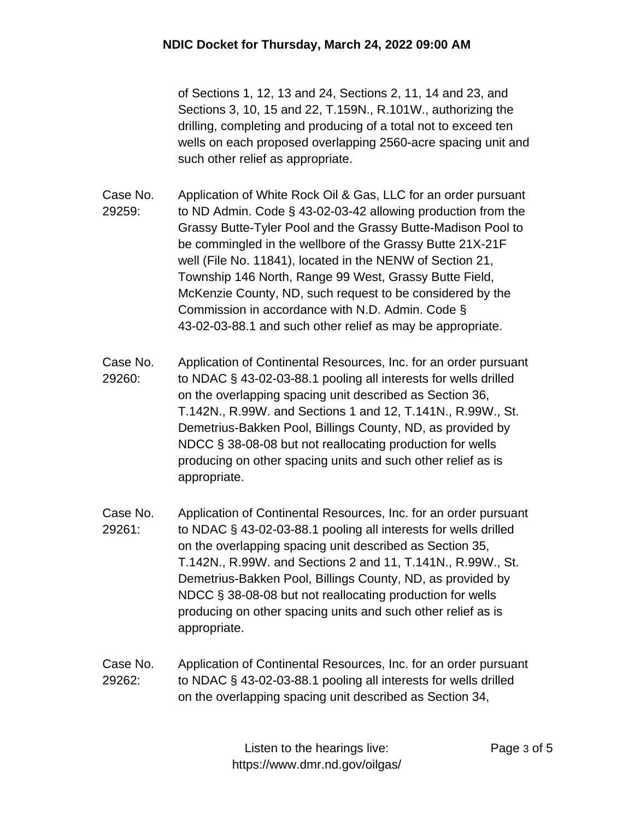of Sections 1, 12, 13 and 24, Sections 2, 11, 14 and 23, and Sections 3, 10, 15 and 22, T.159N., R.101W., authorizing the drilling, completing and producing of a total not to exceed ten wells on each proposed overlapping 2560-acre spacing unit and such other relief as appropriate.

- Case No. 29259: Application of White Rock Oil & Gas, LLC for an order pursuant to ND Admin. Code § 43-02-03-42 allowing production from the Grassy Butte-Tyler Pool and the Grassy Butte-Madison Pool to be commingled in the wellbore of the Grassy Butte 21X-21F well (File No. 11841), located in the NENW of Section 21, Township 146 North, Range 99 West, Grassy Butte Field, McKenzie County, ND, such request to be considered by the Commission in accordance with N.D. Admin. Code § 43-02-03-88.1 and such other relief as may be appropriate.
- Case No. 29260: Application of Continental Resources, Inc. for an order pursuant to NDAC § 43-02-03-88.1 pooling all interests for wells drilled on the overlapping spacing unit described as Section 36, T.142N., R.99W. and Sections 1 and 12, T.141N., R.99W., St. Demetrius-Bakken Pool, Billings County, ND, as provided by NDCC § 38-08-08 but not reallocating production for wells producing on other spacing units and such other relief as is appropriate.
- Case No. 29261: Application of Continental Resources, Inc. for an order pursuant to NDAC § 43-02-03-88.1 pooling all interests for wells drilled on the overlapping spacing unit described as Section 35, T.142N., R.99W. and Sections 2 and 11, T.141N., R.99W., St. Demetrius-Bakken Pool, Billings County, ND, as provided by NDCC § 38-08-08 but not reallocating production for wells producing on other spacing units and such other relief as is appropriate.
- Case No. 29262: Application of Continental Resources, Inc. for an order pursuant to NDAC § 43-02-03-88.1 pooling all interests for wells drilled on the overlapping spacing unit described as Section 34,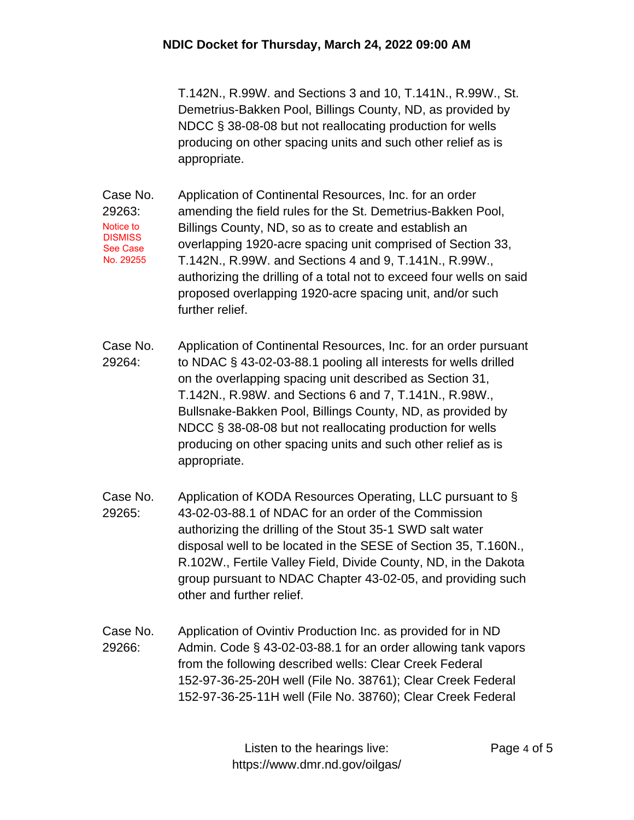T.142N., R.99W. and Sections 3 and 10, T.141N., R.99W., St. Demetrius-Bakken Pool, Billings County, ND, as provided by NDCC § 38-08-08 but not reallocating production for wells producing on other spacing units and such other relief as is appropriate.

Case No. 29263: Application of Continental Resources, Inc. for an order amending the field rules for the St. Demetrius-Bakken Pool, Billings County, ND, so as to create and establish an overlapping 1920-acre spacing unit comprised of Section 33, T.142N., R.99W. and Sections 4 and 9, T.141N., R.99W., authorizing the drilling of a total not to exceed four wells on said proposed overlapping 1920-acre spacing unit, and/or such further relief. Notice to **DISMISS** See Case No. 29255

- Case No. 29264: Application of Continental Resources, Inc. for an order pursuant to NDAC § 43-02-03-88.1 pooling all interests for wells drilled on the overlapping spacing unit described as Section 31, T.142N., R.98W. and Sections 6 and 7, T.141N., R.98W., Bullsnake-Bakken Pool, Billings County, ND, as provided by NDCC § 38-08-08 but not reallocating production for wells producing on other spacing units and such other relief as is appropriate.
- Case No. 29265: Application of KODA Resources Operating, LLC pursuant to § 43-02-03-88.1 of NDAC for an order of the Commission authorizing the drilling of the Stout 35-1 SWD salt water disposal well to be located in the SESE of Section 35, T.160N., R.102W., Fertile Valley Field, Divide County, ND, in the Dakota group pursuant to NDAC Chapter 43-02-05, and providing such other and further relief.
- Case No. 29266: Application of Ovintiv Production Inc. as provided for in ND Admin. Code § 43-02-03-88.1 for an order allowing tank vapors from the following described wells: Clear Creek Federal 152-97-36-25-20H well (File No. 38761); Clear Creek Federal 152-97-36-25-11H well (File No. 38760); Clear Creek Federal